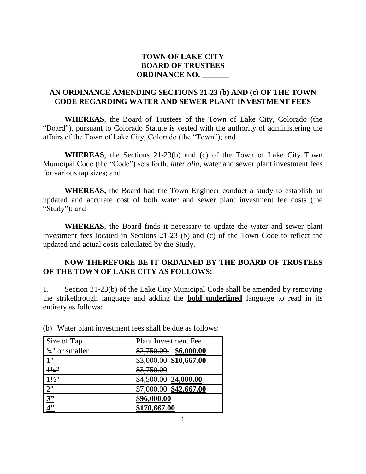## **TOWN OF LAKE CITY BOARD OF TRUSTEES ORDINANCE NO. \_\_\_\_\_\_\_**

## **AN ORDINANCE AMENDING SECTIONS 21-23 (b) AND (c) OF THE TOWN CODE REGARDING WATER AND SEWER PLANT INVESTMENT FEES**

**WHEREAS**, the Board of Trustees of the Town of Lake City, Colorado (the "Board"), pursuant to Colorado Statute is vested with the authority of administering the affairs of the Town of Lake City, Colorado (the "Town"); and

**WHEREAS**, the Sections 21-23(b) and (c) of the Town of Lake City Town Municipal Code (the "Code") sets forth, *inter alia*, water and sewer plant investment fees for various tap sizes; and

**WHEREAS,** the Board had the Town Engineer conduct a study to establish an updated and accurate cost of both water and sewer plant investment fee costs (the "Study"); and

**WHEREAS**, the Board finds it necessary to update the water and sewer plant investment fees located in Sections 21-23 (b) and (c) of the Town Code to reflect the updated and actual costs calculated by the Study.

#### **NOW THEREFORE BE IT ORDAINED BY THE BOARD OF TRUSTEES OF THE TOWN OF LAKE CITY AS FOLLOWS:**

1. Section 21-23(b) of the Lake City Municipal Code shall be amended by removing the strikethrough language and adding the **bold underlined** language to read in its entirety as follows:

| Size of Tap                | <b>Plant Investment Fee</b> |
|----------------------------|-----------------------------|
| $\frac{3}{4}$ " or smaller | $$2,750.00$ \$6,000.00      |
| 1"                         | \$3,000.00 \$10,667.00      |
| $\frac{11}{4}$             | \$3,750.00                  |
| $1\frac{1}{2}$             | \$4,500.00 24,000.00        |
| 2"                         | $$7,000.00$ \$42,667.00     |
| 3"                         | \$96,000.00                 |
| 4"                         | \$170,667.00                |

(b) Water plant investment fees shall be due as follows: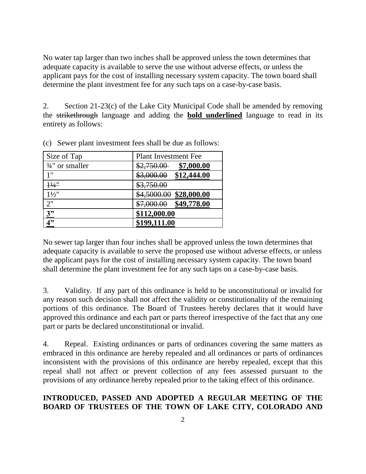No water tap larger than two inches shall be approved unless the town determines that adequate capacity is available to serve the use without adverse effects, or unless the applicant pays for the cost of installing necessary system capacity. The town board shall determine the plant investment fee for any such taps on a case-by-case basis.

2. Section 21-23(c) of the Lake City Municipal Code shall be amended by removing the strikethrough language and adding the **bold underlined** language to read in its entirety as follows:

| Size of Tap                | <b>Plant Investment Fee</b>       |
|----------------------------|-----------------------------------|
| $\frac{3}{4}$ " or smaller | \$7,000.00<br>\$2,750.00          |
| 1"                         | \$12,444.00<br>\$3,000.00         |
| $\frac{11}{4}$             | \$3,750.00                        |
| $1\frac{1}{2}$ "           | <u>\$28,000.00</u><br>\$4,5000.00 |
| 2"                         | \$49,778.00<br>\$7,000.00         |
| 3"                         | \$112,000.00                      |
| 4"                         | \$199,111.00                      |

(c) Sewer plant investment fees shall be due as follows:

No sewer tap larger than four inches shall be approved unless the town determines that adequate capacity is available to serve the proposed use without adverse effects, or unless the applicant pays for the cost of installing necessary system capacity. The town board shall determine the plant investment fee for any such taps on a case-by-case basis.

3. Validity. If any part of this ordinance is held to be unconstitutional or invalid for any reason such decision shall not affect the validity or constitutionality of the remaining portions of this ordinance. The Board of Trustees hereby declares that it would have approved this ordinance and each part or parts thereof irrespective of the fact that any one part or parts be declared unconstitutional or invalid.

4. Repeal. Existing ordinances or parts of ordinances covering the same matters as embraced in this ordinance are hereby repealed and all ordinances or parts of ordinances inconsistent with the provisions of this ordinance are hereby repealed, except that this repeal shall not affect or prevent collection of any fees assessed pursuant to the provisions of any ordinance hereby repealed prior to the taking effect of this ordinance.

## **INTRODUCED, PASSED AND ADOPTED A REGULAR MEETING OF THE BOARD OF TRUSTEES OF THE TOWN OF LAKE CITY, COLORADO AND**